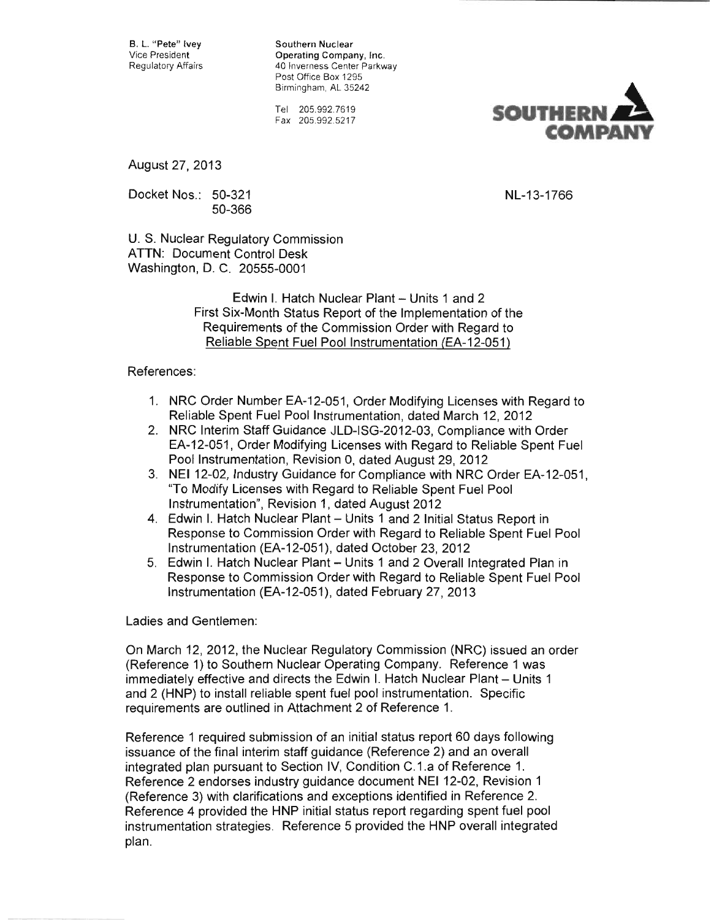B. L. "Pete" Ivey Southern Nuclear<br>Vice President Company Operating Company Vice President **Company, Inc.**<br>Regulatory Affairs **Company** 40 Inverness Center Parkw 40 Inverness Center Parkway Post Office Box 1295 Birmingham, AL 35242

> Tel 205.992.7619 Fax 205.992.5217



August 27,2013

Docket Nos.: 50-321 NL-13-1766 50-366

U. S. Nuclear Regulatory Commission ATTN: Document Control Desk Washington, D. C. 20555-0001

> Edwin I. Hatch Nuclear Plant - Units 1 and 2 First Six-Month Status Report of the Implementation of the Requirements of the Commission Order with Regard to Reliable Spent Fuel Pool Instrumentation (EA-12-051)

## References:

- 1. NRC Order Number EA-12-051, Order Modifying Licenses with Regard to Reliable Spent Fuel Pool Instrumentation, dated March 12, 2012
- 2. NRC Interim Staff Guidance JLD-ISG-2012-03, Compliance with Order EA-12-051, Order Modifying Licenses with Regard to Reliable Spent Fuel Pool Instrumentation, Revision 0, dated August 29, 2012
- 3. NEI12-02, Industry Guidance for Compliance with NRC Order EA-12-051, "To Modify Licenses with Regard to Reliable Spent Fuel Pool Instrumentation", Revision 1, dated August 2012
- 4. Edwin I. Hatch Nuclear Plant Units 1 and 2 Initial Status Report in Response to Commission Order with Regard to Reliable Spent Fuel Pool Instrumentation (EA-12-051), dated October 23, 2012
- 5. Edwin I. Hatch Nuclear Plant Units 1 and 2 Overall Integrated Plan in Response to Commission Order with Regard to Reliable Spent Fuel Pool Instrumentation (EA-12-051), dated February 27,2013

Ladies and Gentlemen:

On March 12, 2012, the Nuclear Regulatory Commission (NRC) issued an order (Reference 1) to Southern Nuclear Operating Company. Reference 1 was immediately effective and directs the Edwin I. Hatch Nuclear Plant - Units 1 and 2 (HNP) to install reliable spent fuel pool instrumentation. Specific requirements are outlined in Attachment 2 of Reference 1.

Reference 1 required submission of an initial status report 60 days following issuance of the final interim staff guidance (Reference 2) and an overall integrated plan pursuant to Section IV, Condition C.1.a of Reference 1. Reference 2 endorses industry guidance document NEI 12-02, Revision 1 (Reference 3) with clarifications and exceptions identified in Reference 2. Reference 4 provided the HNP initial status report regarding spent fuel pool instrumentation strategies. Reference 5 provided the HNP overall integrated plan.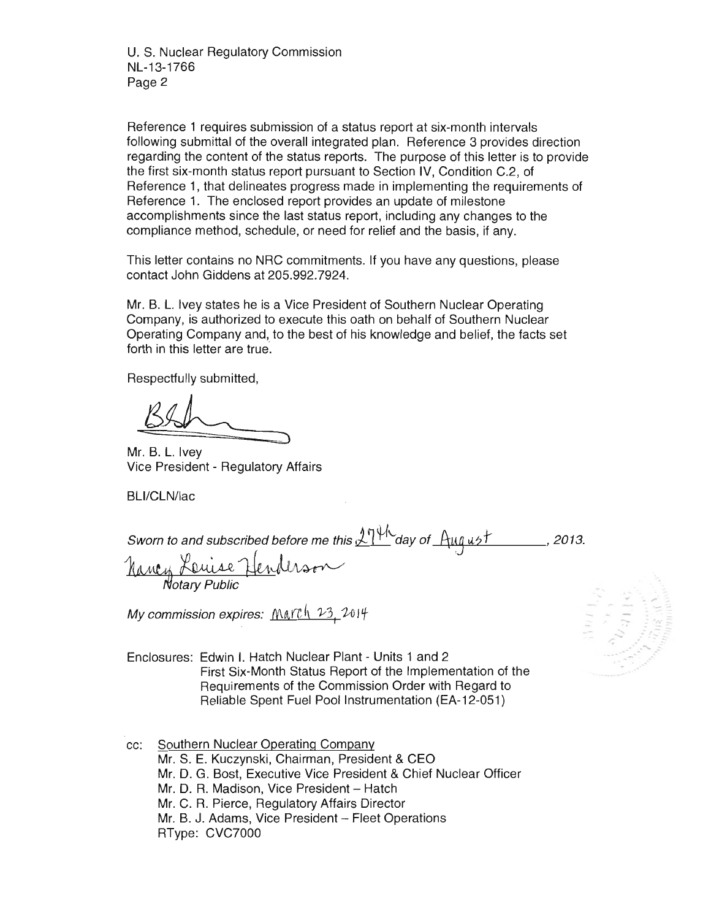U. S. Nuclear Regulatory Commission NL-13-1766 Page 2

Reference 1 requires submission of a status report at six-month intervals following submittal of the overall integrated plan. Reference 3 provides direction regarding the content of the status reports. The purpose of this letter is to provide the first six-month status report pursuant to Section IV, Condition C.2, of Reference 1, that delineates progress made in implementing the requirements of Reference 1. The enclosed report provides an update of milestone accomplishments since the last status report, including any changes to the compliance method, schedule, or need for relief and the basis, if any.

This letter contains no NRC commitments. If you have any questions, please contact John Giddens at 205.992.7924.

Mr. B. L. Ivey states he is a Vice President of Southern Nuclear Operating Company, is authorized to execute this oath on behalf of Southern Nuclear Operating Company and, to the best of his knowledge and belief, the facts set forth in this letter are true.

Respectfully submitted,

Mr. B. L. Ivey Vice President - Regulatory Affairs

BLl/CLN/lac

Sworn to and subscribed before me this  $2$ <sup>r</sup> $\frac{1}{1}$  day of  $\frac{1}{4}$ uq ust. 2013.

Nancy Lenise Henderso

My commission expires:  $M\alpha\gamma h$   $23, 2014$ 

Enclosures: Edwin I. Hatch Nuclear Plant - Units 1 and 2 First Six-Month Status Report of the Implementation of the Requirements of the Commission Order with Regard to Reliable Spent Fuel Pool Instrumentation (EA-12-051)

cc: Southern Nuclear Operating Company Mr. S. E. Kuczynski, Chairman, President & CEO Mr. D. G. Bost, Executive Vice President & Chief Nuclear Officer Mr. D. R. Madison, Vice President - Hatch Mr. C. R. Pierce, Regulatory Affairs Director Mr. B. J. Adams, Vice President - Fleet Operations RType: CVC7000

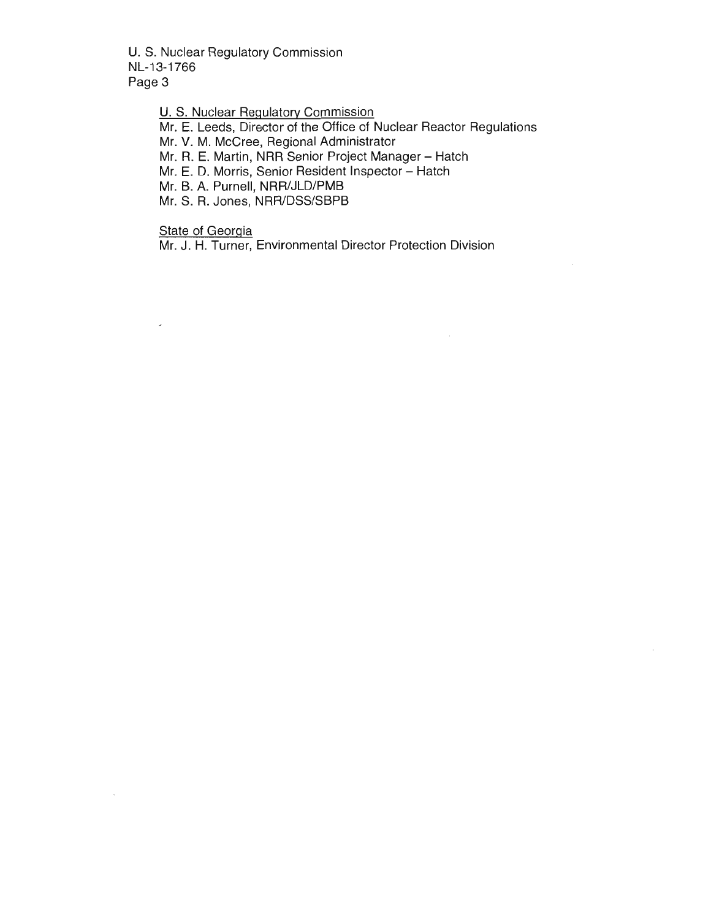U. S. Nuclear Regulatory Commission NL-13-1766 Page 3

> U. S. Nuclear Regulatory Commission Mr. E. Leeds, Director of the Office of Nuclear Reactor Regulations Mr. V. M. McCree, Regional Administrator Mr. R. E. Martin, NRR Senior Project Manager - Hatch Mr. E. D. Morris, Senior Resident Inspector - Hatch Mr. B. A. Purnell, NRR/JLD/PMB Mr. S. R. Jones, NRR/DSS/SBPB

State of Georgia

 $\overline{a}$ 

Mr. J. H. Turner, Environmental Director Protection Division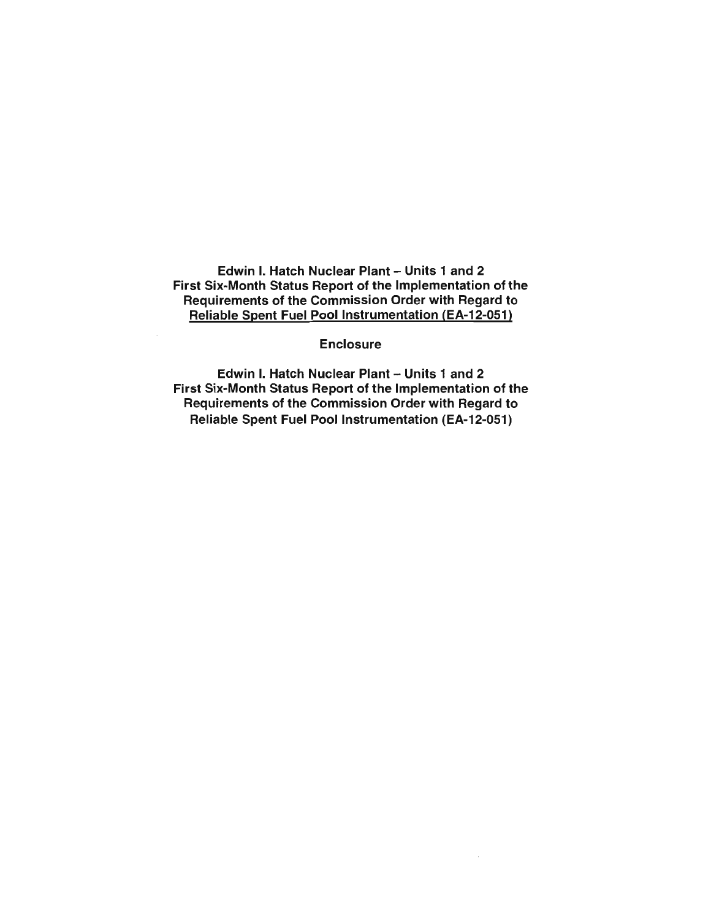Edwin I. Hatch Nuclear Plant - Units 1 and 2 First Six-Month Status Report of the Implementation of the Requirements of the Commission Order with Regard to Reliable Spent Fuel Pool Instrumentation (EA-12-051)

Enclosure

Edwin I. Hatch Nuclear Plant - Units 1 and 2 First Six-Month Status Report of the Implementation of the Requirements of the Commission Order with Regard to Reliable Spent Fuel Pool Instrumentation (EA-12-051)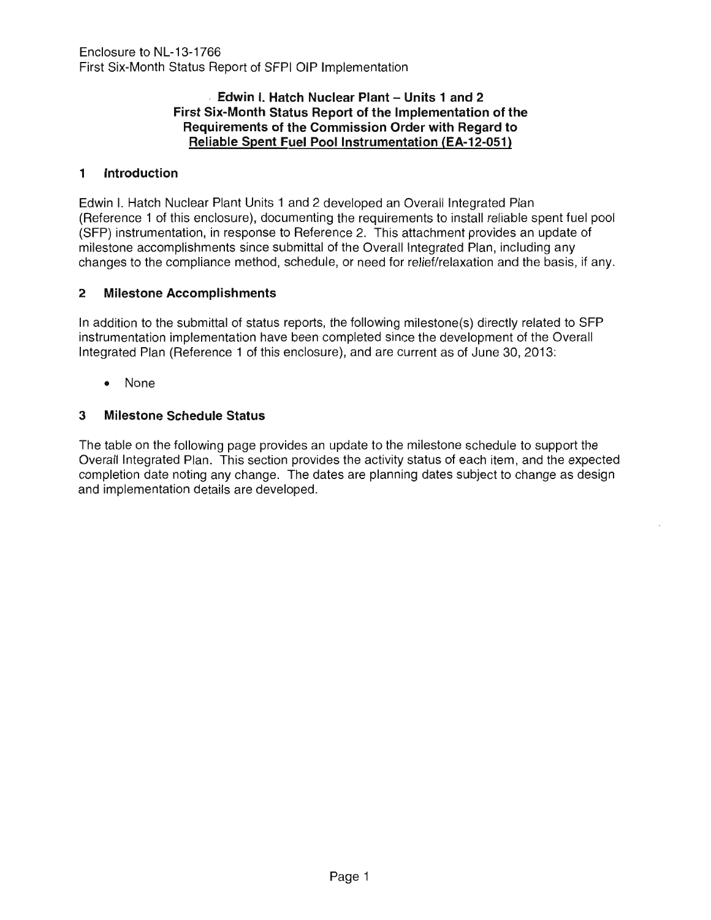## Edwin I. Hatch Nuclear Plant - Units 1 and 2 **First Six-Month Status Report of the Implementation of the Requirements of the Commission Order with Regard to Reliable Spent Fuel** Pool Instrumentation **(EA-12-051)**

# **1 Introduction**

Edwin I. Hatch Nuclear Plant Units 1 and 2 developed an Overall Integrated Plan (Reference 1 of this enclosure), documenting the requirements to install reliable spent fuel pool (SFP) instrumentation, in response to Reference 2. This attachment provides an update of milestone accomplishments since submittal of the Overall Integrated Plan, including any changes to the compliance method, schedule, or need for relief/relaxation and the basis, if any.

# **2 Milestone Accomplishments**

In addition to the submittal of status reports, the following milestone(s) directly related to SFP instrumentation implementation have been completed since the development of the Overall Integrated Plan (Reference 1 of this enclosure), and are current as of June 30, 2013:

• None

# **3 Milestone Schedule Status**

The table on the following page provides an update to the milestone schedule to support the Overall Integrated Plan. This section provides the activity status of each item, and the expected completion date noting any change. The dates are planning dates subject to change as design and implementation details are developed.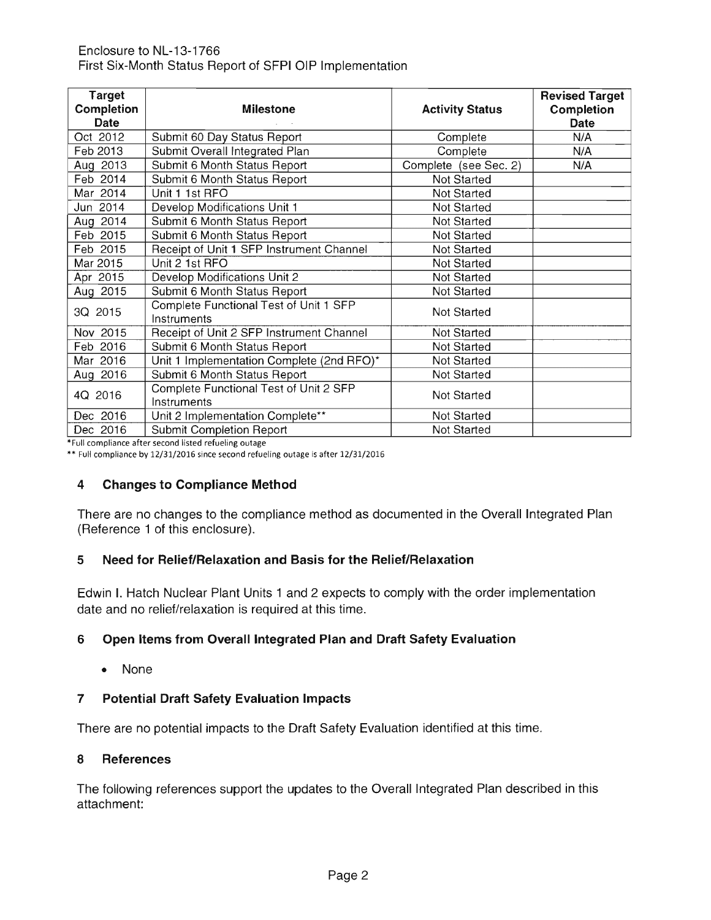| <b>Target</b><br><b>Completion</b><br>Date | <b>Milestone</b>                                      | <b>Activity Status</b> | <b>Revised Target</b><br><b>Completion</b><br>Date |
|--------------------------------------------|-------------------------------------------------------|------------------------|----------------------------------------------------|
| Oct 2012                                   | Submit 60 Day Status Report                           | Complete               | N/A                                                |
| Feb 2013                                   | Submit Overall Integrated Plan                        | Complete               | N/A                                                |
| Aug 2013                                   | Submit 6 Month Status Report                          | Complete (see Sec. 2)  | N/A                                                |
| Feb 2014                                   | Submit 6 Month Status Report                          | Not Started            |                                                    |
| Mar 2014                                   | Unit 1 1st RFO                                        | Not Started            |                                                    |
| Jun 2014                                   | Develop Modifications Unit 1                          | Not Started            |                                                    |
| Aug 2014                                   | Submit 6 Month Status Report                          | Not Started            |                                                    |
| Feb 2015                                   | Submit 6 Month Status Report                          | Not Started            |                                                    |
| Feb 2015                                   | Receipt of Unit 1 SFP Instrument Channel              | <b>Not Started</b>     |                                                    |
| Mar 2015                                   | Unit 2 1st RFO                                        | Not Started            |                                                    |
| Apr 2015                                   | Develop Modifications Unit 2                          | Not Started            |                                                    |
| Aug 2015                                   | Submit 6 Month Status Report                          | Not Started            |                                                    |
| 3Q 2015                                    | Complete Functional Test of Unit 1 SFP<br>Instruments | Not Started            |                                                    |
| Nov 2015                                   | Receipt of Unit 2 SFP Instrument Channel              | Not Started            |                                                    |
| Feb 2016                                   | Submit 6 Month Status Report                          | Not Started            |                                                    |
| Mar 2016                                   | Unit 1 Implementation Complete (2nd RFO)*             | Not Started            |                                                    |
| Aug 2016                                   | Submit 6 Month Status Report                          | Not Started            |                                                    |
| 4Q 2016                                    | Complete Functional Test of Unit 2 SFP<br>Instruments | Not Started            |                                                    |
| Dec 2016                                   | Unit 2 Implementation Complete**                      | <b>Not Started</b>     |                                                    |
| Dec 2016                                   | <b>Submit Completion Report</b>                       | Not Started            |                                                    |

\*Full compliance after second listed refueling outage

\*\* Full compliance by 12/31/2016 since second refueling outage is after 12/31/2016

#### **4 Changes to Compliance Method**

There are no changes to the compliance method as documented in the Overall Integrated Plan (Reference 1 of this enclosure).

### **5 Need for Relief/Relaxation and Basis for the Relief/Relaxation**

Edwin I. Hatch Nuclear Plant Units 1 and 2 expects to comply with the order implementation date and no relief/relaxation is required at this time.

## **6 Open Items from Overall Integrated Plan and Draft Safety Evaluation**

• None

### **7 Potential Draft Safety Evaluation Impacts**

There are no potential impacts to the Draft Safety Evaluation identified at this time.

### **8 References**

The following references support the updates to the Overall Integrated Plan described in this attachment: